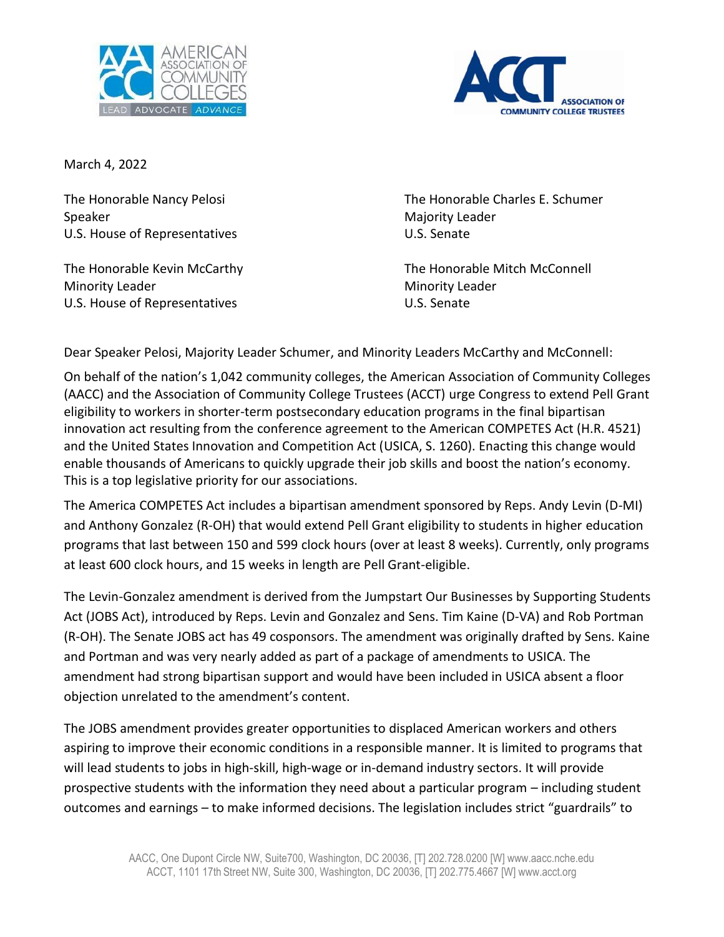



March 4, 2022

Speaker Majority Leader New York 1999, Majority Leader U.S. House of Representatives U.S. Senate

Minority Leader Minority Leader U.S. House of Representatives U.S. Senate

The Honorable Nancy Pelosi **The Honorable Charles E. Schumer** 

The Honorable Kevin McCarthy The Honorable Mitch McConnell

Dear Speaker Pelosi, Majority Leader Schumer, and Minority Leaders McCarthy and McConnell:

On behalf of the nation's 1,042 community colleges, the American Association of Community Colleges (AACC) and the Association of Community College Trustees (ACCT) urge Congress to extend Pell Grant eligibility to workers in shorter-term postsecondary education programs in the final bipartisan innovation act resulting from the conference agreement to the American COMPETES Act (H.R. 4521) and the United States Innovation and Competition Act (USICA, S. 1260). Enacting this change would enable thousands of Americans to quickly upgrade their job skills and boost the nation's economy. This is a top legislative priority for our associations.

The America COMPETES Act includes a bipartisan amendment sponsored by Reps. Andy Levin (D-MI) and Anthony Gonzalez (R-OH) that would extend Pell Grant eligibility to students in higher education programs that last between 150 and 599 clock hours (over at least 8 weeks). Currently, only programs at least 600 clock hours, and 15 weeks in length are Pell Grant-eligible.

The Levin-Gonzalez amendment is derived from the Jumpstart Our Businesses by Supporting Students Act (JOBS Act), introduced by Reps. Levin and Gonzalez and Sens. Tim Kaine (D-VA) and Rob Portman (R-OH). The Senate JOBS act has 49 cosponsors. The amendment was originally drafted by Sens. Kaine and Portman and was very nearly added as part of a package of amendments to USICA. The amendment had strong bipartisan support and would have been included in USICA absent a floor objection unrelated to the amendment's content.

The JOBS amendment provides greater opportunities to displaced American workers and others aspiring to improve their economic conditions in a responsible manner. It is limited to programs that will lead students to jobs in high-skill, high-wage or in-demand industry sectors. It will provide prospective students with the information they need about a particular program – including student outcomes and earnings – to make informed decisions. The legislation includes strict "guardrails" to